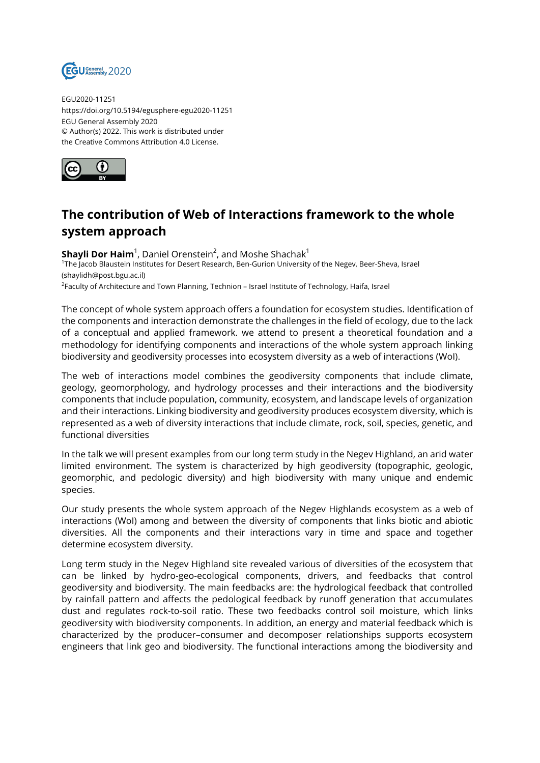

EGU2020-11251 https://doi.org/10.5194/egusphere-egu2020-11251 EGU General Assembly 2020 © Author(s) 2022. This work is distributed under the Creative Commons Attribution 4.0 License.



## **The contribution of Web of Interactions framework to the whole system approach**

**Shayli Dor Haim**<sup>1</sup>, Daniel Orenstein<sup>2</sup>, and Moshe Shachak<sup>1</sup> 1 The Jacob Blaustein Institutes for Desert Research, Ben-Gurion University of the Negev, Beer-Sheva, Israel (shaylidh@post.bgu.ac.il) <sup>2</sup>Faculty of Architecture and Town Planning, Technion – Israel Institute of Technology, Haifa, Israel

The concept of whole system approach offers a foundation for ecosystem studies. Identification of the components and interaction demonstrate the challenges in the field of ecology, due to the lack of a conceptual and applied framework. we attend to present a theoretical foundation and a methodology for identifying components and interactions of the whole system approach linking biodiversity and geodiversity processes into ecosystem diversity as a web of interactions (WoI).

The web of interactions model combines the geodiversity components that include climate, geology, geomorphology, and hydrology processes and their interactions and the biodiversity components that include population, community, ecosystem, and landscape levels of organization and their interactions. Linking biodiversity and geodiversity produces ecosystem diversity, which is represented as a web of diversity interactions that include climate, rock, soil, species, genetic, and functional diversities

In the talk we will present examples from our long term study in the Negev Highland, an arid water limited environment. The system is characterized by high geodiversity (topographic, geologic, geomorphic, and pedologic diversity) and high biodiversity with many unique and endemic species.

Our study presents the whole system approach of the Negev Highlands ecosystem as a web of interactions (WoI) among and between the diversity of components that links biotic and abiotic diversities. All the components and their interactions vary in time and space and together determine ecosystem diversity.

Long term study in the Negev Highland site revealed various of diversities of the ecosystem that can be linked by hydro-geo-ecological components, drivers, and feedbacks that control geodiversity and biodiversity. The main feedbacks are: the hydrological feedback that controlled by rainfall pattern and affects the pedological feedback by runoff generation that accumulates dust and regulates rock-to-soil ratio. These two feedbacks control soil moisture, which links geodiversity with biodiversity components. In addition, an energy and material feedback which is characterized by the producer–consumer and decomposer relationships supports ecosystem engineers that link geo and biodiversity. The functional interactions among the biodiversity and